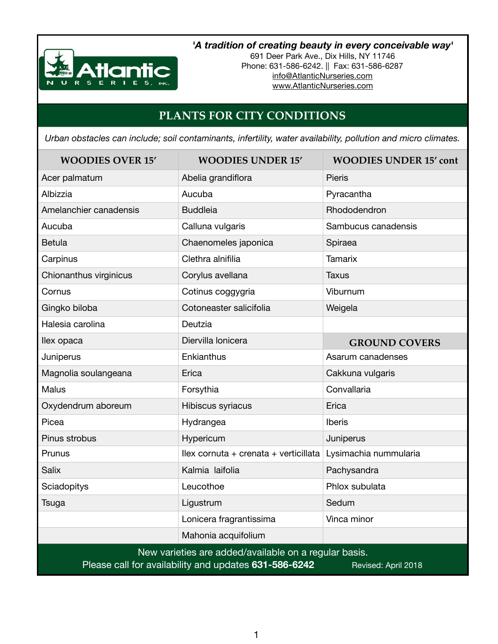

*'A tradition of creating beauty in every conceivable way'* 

691 Deer Park Ave., Dix Hills, NY 11746 Phone: 631-586-6242. || Fax: 631-586-6287 [info@AtlanticNurseries.com](mailto:info@AtlanticNurseries.com) [www.AtlanticNurseries.com](http://www.AtlanticNurseries.com)

## **PLANTS FOR CITY CONDITIONS**

*Urban obstacles can include; soil contaminants, infertility, water availability, pollution and micro climates.*

| <b>WOODIES OVER 15'</b>                                                                                                               | <b>WOODIES UNDER 15'</b>              | <b>WOODIES UNDER 15' cont</b> |  |
|---------------------------------------------------------------------------------------------------------------------------------------|---------------------------------------|-------------------------------|--|
| Acer palmatum                                                                                                                         | Abelia grandiflora                    | Pieris                        |  |
| Albizzia                                                                                                                              | Aucuba                                | Pyracantha                    |  |
| Amelanchier canadensis                                                                                                                | <b>Buddleia</b>                       | Rhododendron                  |  |
| Aucuba                                                                                                                                | Calluna vulgaris                      | Sambucus canadensis           |  |
| <b>Betula</b>                                                                                                                         | Chaenomeles japonica                  | Spiraea                       |  |
| Carpinus                                                                                                                              | Clethra alnifilia                     | <b>Tamarix</b>                |  |
| Chionanthus virginicus                                                                                                                | Corylus avellana                      | <b>Taxus</b>                  |  |
| Cornus                                                                                                                                | Cotinus coggygria                     | Viburnum                      |  |
| Gingko biloba                                                                                                                         | Cotoneaster salicifolia               | Weigela                       |  |
| Halesia carolina                                                                                                                      | Deutzia                               |                               |  |
| llex opaca                                                                                                                            | Diervilla lonicera                    | <b>GROUND COVERS</b>          |  |
| Juniperus                                                                                                                             | Enkianthus                            | Asarum canadenses             |  |
| Magnolia soulangeana                                                                                                                  | Erica                                 | Cakkuna vulgaris              |  |
| Malus                                                                                                                                 | Forsythia                             | Convallaria                   |  |
| Oxydendrum aboreum                                                                                                                    | Hibiscus syriacus                     | Erica                         |  |
| Picea                                                                                                                                 | Hydrangea                             | <b>Iberis</b>                 |  |
| Pinus strobus                                                                                                                         | Hypericum                             | Juniperus                     |  |
| Prunus                                                                                                                                | llex cornuta + crenata + verticillata | Lysimachia nummularia         |  |
| <b>Salix</b>                                                                                                                          | Kalmia laifolia                       | Pachysandra                   |  |
| Sciadopitys                                                                                                                           | Leucothoe                             | Phlox subulata                |  |
| Tsuga                                                                                                                                 | Ligustrum                             | Sedum                         |  |
|                                                                                                                                       | Lonicera fragrantissima               | Vinca minor                   |  |
|                                                                                                                                       | Mahonia acquifolium                   |                               |  |
| New varieties are added/available on a regular basis.<br>Please call for availability and updates 631-586-6242<br>Revised: April 2018 |                                       |                               |  |